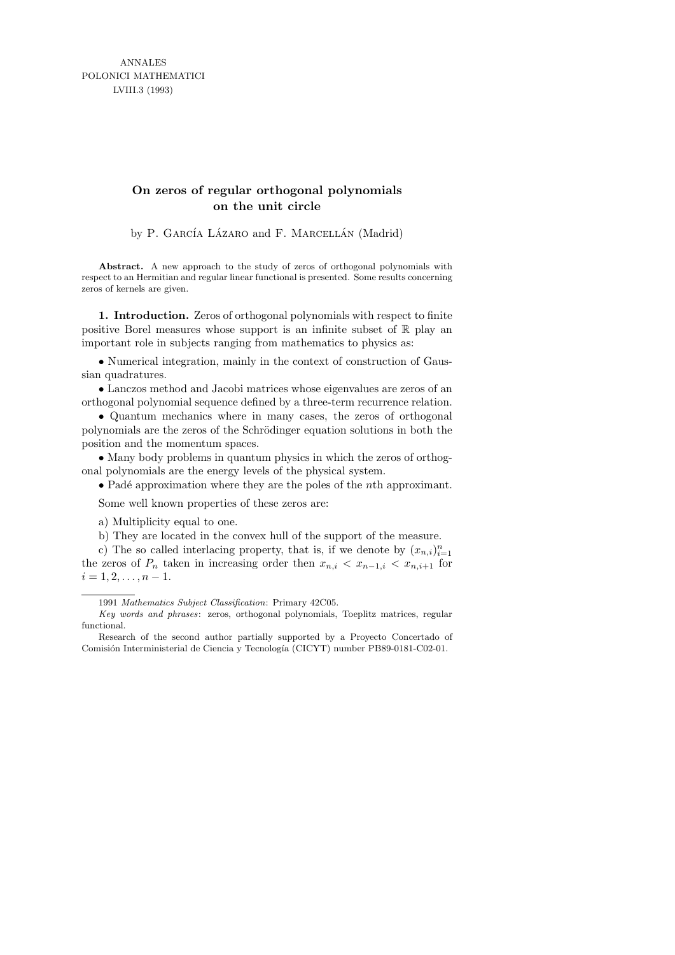ANNALES POLONICI MATHEMATICI LVIII.3 (1993)

# **On zeros of regular orthogonal polynomials on the unit circle**

by P. GARCÍA LÁZARO and F. MARCELLÁN (Madrid)

**Abstract.** A new approach to the study of zeros of orthogonal polynomials with respect to an Hermitian and regular linear functional is presented. Some results concerning zeros of kernels are given.

1. Introduction. Zeros of orthogonal polynomials with respect to finite positive Borel measures whose support is an infinite subset of  $\mathbb R$  play an important role in subjects ranging from mathematics to physics as:

• Numerical integration, mainly in the context of construction of Gaussian quadratures.

• Lanczos method and Jacobi matrices whose eigenvalues are zeros of an orthogonal polynomial sequence defined by a three-term recurrence relation.

• Quantum mechanics where in many cases, the zeros of orthogonal polynomials are the zeros of the Schrödinger equation solutions in both the position and the momentum spaces.

• Many body problems in quantum physics in which the zeros of orthogonal polynomials are the energy levels of the physical system.

• Padé approximation where they are the poles of the *n*th approximant.

Some well known properties of these zeros are:

a) Multiplicity equal to one.

b) They are located in the convex hull of the support of the measure.

c) The so called interlacing property, that is, if we denote by  $(x_{n,i})_{i=1}^n$ the zeros of  $P_n$  taken in increasing order then  $x_{n,i} < x_{n-1,i} < x_{n,i+1}$  for  $i = 1, 2, \ldots, n - 1.$ 

*Key words and phrases*: zeros, orthogonal polynomials, Toeplitz matrices, regular functional.

Research of the second author partially supported by a Proyecto Concertado of Comisión Interministerial de Ciencia y Tecnología (CICYT) number PB89-0181-C02-01.

<sup>1991</sup> *Mathematics Subject Classification*: Primary 42C05.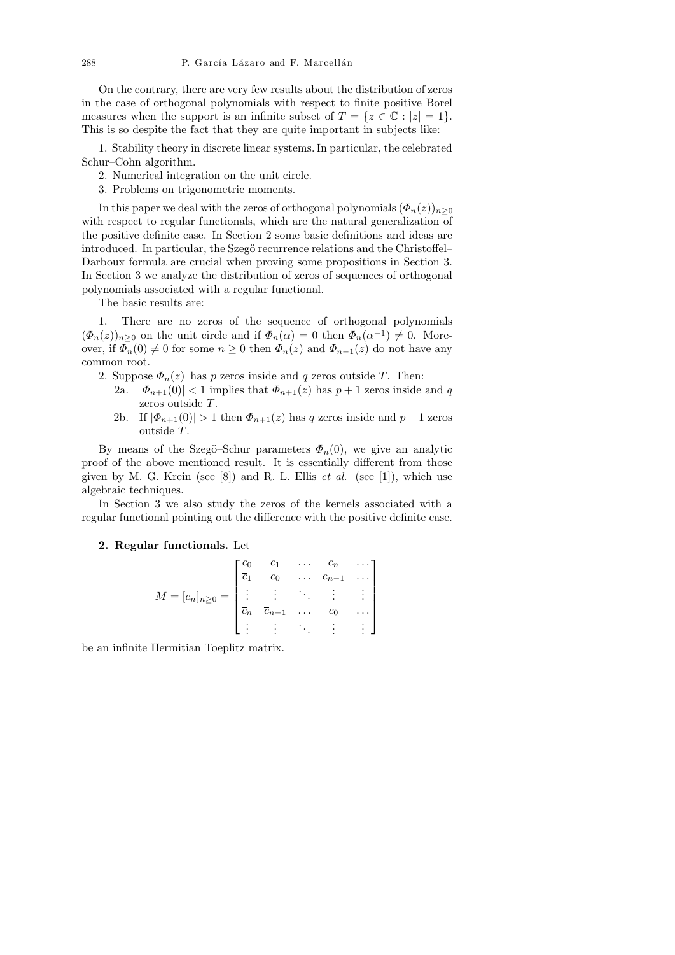On the contrary, there are very few results about the distribution of zeros in the case of orthogonal polynomials with respect to finite positive Borel measures when the support is an infinite subset of  $T = \{z \in \mathbb{C} : |z| = 1\}.$ This is so despite the fact that they are quite important in subjects like:

1. Stability theory in discrete linear systems. In particular, the celebrated Schur–Cohn algorithm.

- 2. Numerical integration on the unit circle.
- 3. Problems on trigonometric moments.

In this paper we deal with the zeros of orthogonal polynomials  $(\Phi_n(z))_{n\geq 0}$ with respect to regular functionals, which are the natural generalization of the positive definite case. In Section 2 some basic definitions and ideas are introduced. In particular, the Szegö recurrence relations and the Christoffel– Darboux formula are crucial when proving some propositions in Section 3. In Section 3 we analyze the distribution of zeros of sequences of orthogonal polynomials associated with a regular functional.

The basic results are:

1. There are no zeros of the sequence of orthogonal polynomials  $(\Phi_n(z))_{n>0}$  on the unit circle and if  $\Phi_n(\alpha) = 0$  then  $\Phi_n(\alpha^{-1}) \neq 0$ . Moreover, if  $\Phi_n(0) \neq 0$  for some  $n \geq 0$  then  $\Phi_n(z)$  and  $\Phi_{n-1}(z)$  do not have any common root.

- 2. Suppose  $\Phi_n(z)$  has p zeros inside and q zeros outside T. Then:
	- 2a.  $|\Phi_{n+1}(0)| < 1$  implies that  $\Phi_{n+1}(z)$  has  $p+1$  zeros inside and q zeros outside T.
	- 2b. If  $|\Phi_{n+1}(0)| > 1$  then  $\Phi_{n+1}(z)$  has q zeros inside and  $p+1$  zeros outside T.

By means of the Szegö–Schur parameters  $\Phi_n(0)$ , we give an analytic proof of the above mentioned result. It is essentially different from those given by M. G. Krein (see  $[8]$ ) and R. L. Ellis *et al.* (see  $[1]$ ), which use algebraic techniques.

In Section 3 we also study the zeros of the kernels associated with a regular functional pointing out the difference with the positive definite case.

### 2. Regular functionals. Let

$$
M = [c_n]_{n \ge 0} = \begin{bmatrix} c_0 & c_1 & \dots & c_n & \dots \\ \overline{c}_1 & c_0 & \dots & c_{n-1} & \dots \\ \vdots & \vdots & \ddots & \vdots & \vdots \\ \overline{c}_n & \overline{c}_{n-1} & \dots & c_0 & \dots \\ \vdots & \vdots & \ddots & \vdots & \vdots \end{bmatrix}
$$

be an infinite Hermitian Toeplitz matrix.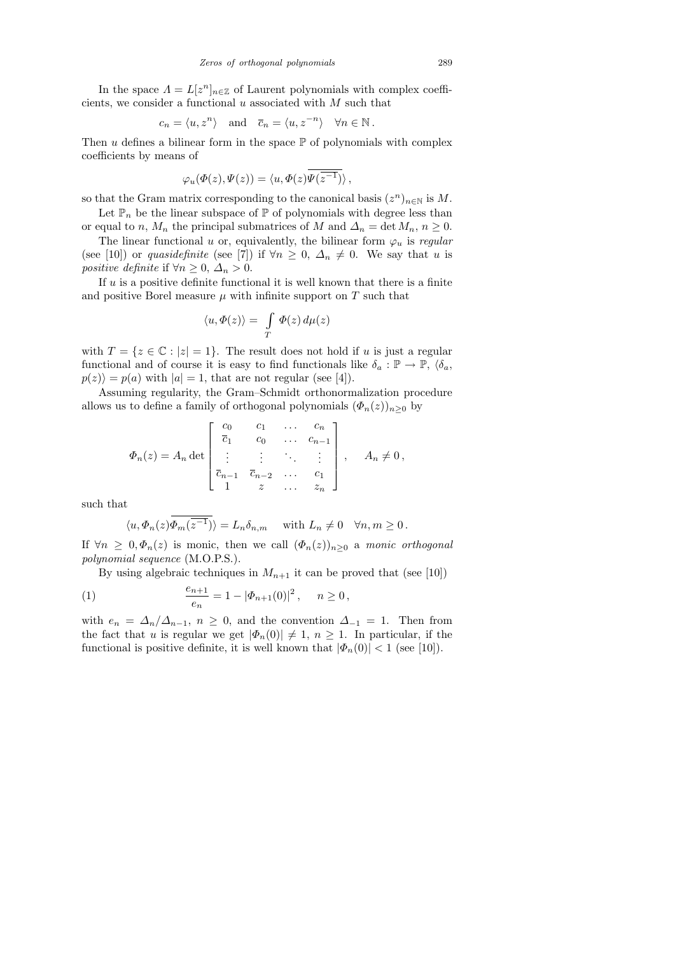In the space  $\Lambda = L[z^n]_{n \in \mathbb{Z}}$  of Laurent polynomials with complex coefficients, we consider a functional  $u$  associated with  $M$  such that

$$
c_n = \langle u, z^n \rangle
$$
 and  $\overline{c}_n = \langle u, z^{-n} \rangle$   $\forall n \in \mathbb{N}$ .

Then  $u$  defines a bilinear form in the space  $\mathbb P$  of polynomials with complex coefficients by means of

$$
\varphi_u(\varPhi(z),\varPsi(z))=\langle u,\varPhi(z)\overline{\varPsi(z^{-1})}\rangle\,,
$$

so that the Gram matrix corresponding to the canonical basis  $(z^n)_{n\in\mathbb{N}}$  is M.

Let  $\mathbb{P}_n$  be the linear subspace of  $\mathbb P$  of polynomials with degree less than or equal to n,  $M_n$  the principal submatrices of M and  $\Delta_n = \det M_n$ ,  $n \geq 0$ .

The linear functional u or, equivalently, the bilinear form  $\varphi_u$  is regular (see [10]) or quasidefinite (see [7]) if  $\forall n \geq 0$ ,  $\Delta_n \neq 0$ . We say that u is positive definite if  $\forall n \geq 0, \Delta_n > 0$ .

If  $u$  is a positive definite functional it is well known that there is a finite and positive Borel measure  $\mu$  with infinite support on  $T$  such that

$$
\langle u, \varPhi(z) \rangle = \int\limits_T \varPhi(z) \, d\mu(z)
$$

with  $T = \{z \in \mathbb{C} : |z| = 1\}$ . The result does not hold if u is just a regular functional and of course it is easy to find functionals like  $\delta_a : \mathbb{P} \to \mathbb{P}, \langle \delta_a, \mathbb{P} \rangle$  $p(z)\rangle = p(a)$  with  $|a|=1$ , that are not regular (see [4]).

Assuming regularity, the Gram–Schmidt orthonormalization procedure allows us to define a family of orthogonal polynomials  $(\Phi_n(z))_{n\geq 0}$  by

$$
\Phi_n(z) = A_n \det \begin{bmatrix} c_0 & c_1 & \dots & c_n \\ \overline{c}_1 & c_0 & \dots & c_{n-1} \\ \vdots & \vdots & \ddots & \vdots \\ \overline{c}_{n-1} & \overline{c}_{n-2} & \dots & c_1 \\ 1 & z & \dots & z_n \end{bmatrix}, \quad A_n \neq 0,
$$

such that

$$
\langle u, \Phi_n(z) \overline{\Phi_m(z^{-1})} \rangle = L_n \delta_{n,m}
$$
 with  $L_n \neq 0 \quad \forall n, m \ge 0$ .

If  $\forall n \geq 0, \Phi_n(z)$  is monic, then we call  $(\Phi_n(z))_{n\geq 0}$  a monic orthogonal polynomial sequence (M.O.P.S.).

By using algebraic techniques in  $M_{n+1}$  it can be proved that (see [10])

(1) 
$$
\frac{e_{n+1}}{e_n} = 1 - |\Phi_{n+1}(0)|^2, \quad n \ge 0,
$$

with  $e_n = \Delta_n/\Delta_{n-1}$ ,  $n \geq 0$ , and the convention  $\Delta_{-1} = 1$ . Then from the fact that u is regular we get  $|\Phi_n(0)| \neq 1$ ,  $n \geq 1$ . In particular, if the functional is positive definite, it is well known that  $|\Phi_n(0)| < 1$  (see [10]).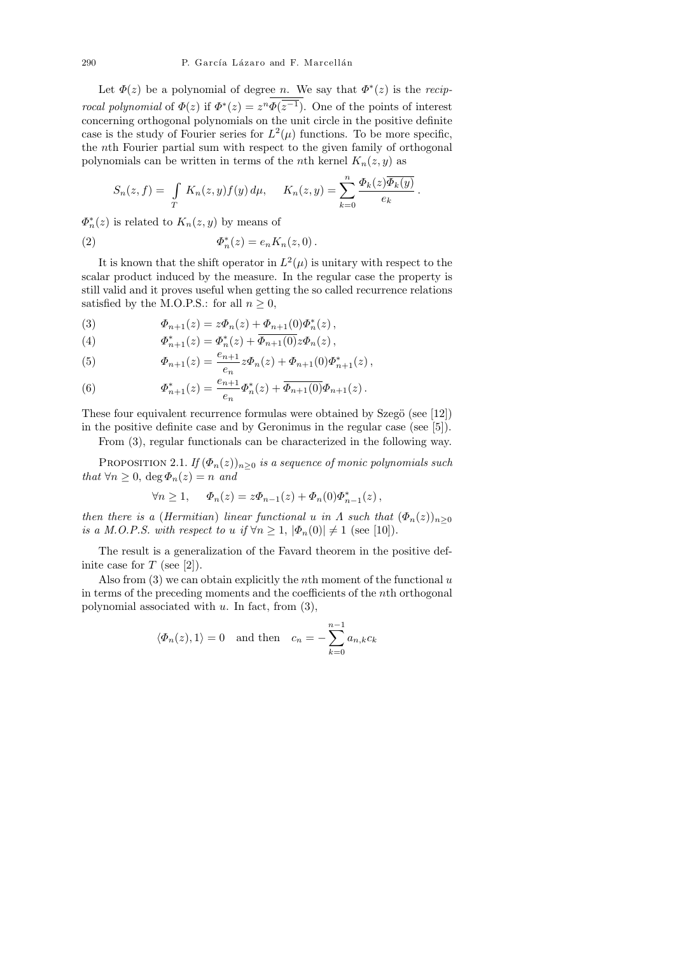Let  $\Phi(z)$  be a polynomial of degree n. We say that  $\Phi^*(z)$  is the recip*rocal polynomial* of  $\Phi(z)$  if  $\Phi^*(z) = z^n \Phi(z^{-1})$ . One of the points of interest concerning orthogonal polynomials on the unit circle in the positive definite case is the study of Fourier series for  $L^2(\mu)$  functions. To be more specific, the nth Fourier partial sum with respect to the given family of orthogonal polynomials can be written in terms of the *n*th kernel  $K_n(z, y)$  as

$$
S_n(z,f) = \int\limits_T K_n(z,y)f(y) d\mu, \quad K_n(z,y) = \sum_{k=0}^n \frac{\Phi_k(z)\overline{\Phi_k(y)}}{e_k}
$$

.

 $\Phi_n^*(z)$  is related to  $K_n(z, y)$  by means of

(2) 
$$
\Phi_n^*(z) = e_n K_n(z, 0) \, .
$$

It is known that the shift operator in  $L^2(\mu)$  is unitary with respect to the scalar product induced by the measure. In the regular case the property is still valid and it proves useful when getting the so called recurrence relations satisfied by the M.O.P.S.: for all  $n \geq 0$ ,

(3) 
$$
\Phi_{n+1}(z) = z\Phi_n(z) + \Phi_{n+1}(0)\Phi_n^*(z),
$$

(4) 
$$
\Phi_{n+1}^*(z) = \Phi_n^*(z) + \overline{\Phi_{n+1}(0)} z \Phi_n(z),
$$

(5) 
$$
\Phi_{n+1}(z) = \frac{e_{n+1}}{e_n} z \Phi_n(z) + \Phi_{n+1}(0) \Phi_{n+1}^*(z) ,
$$

(6) 
$$
\Phi_{n+1}^*(z) = \frac{e_{n+1}}{e_n} \Phi_n^*(z) + \overline{\Phi_{n+1}(0)} \Phi_{n+1}(z).
$$

These four equivalent recurrence formulas were obtained by Szegö (see  $[12]$ ) in the positive definite case and by Geronimus in the regular case (see [5]).

From (3), regular functionals can be characterized in the following way.

PROPOSITION 2.1. If  $(\Phi_n(z))_{n\geq 0}$  is a sequence of monic polynomials such that  $\forall n \geq 0$ ,  $\deg \Phi_n(z) = n$  and

$$
\forall n \ge 1, \quad \Phi_n(z) = z \Phi_{n-1}(z) + \Phi_n(0) \Phi_{n-1}^*(z),
$$

then there is a (Hermitian) linear functional u in  $\Lambda$  such that  $(\Phi_n(z))_{n\geq 0}$ is a M.O.P.S. with respect to u if  $\forall n \geq 1$ ,  $|\Phi_n(0)| \neq 1$  (see [10]).

The result is a generalization of the Favard theorem in the positive definite case for  $T$  (see [2]).

Also from  $(3)$  we can obtain explicitly the *n*th moment of the functional u in terms of the preceding moments and the coefficients of the nth orthogonal polynomial associated with  $u$ . In fact, from  $(3)$ ,

$$
\langle \Phi_n(z), 1 \rangle = 0
$$
 and then  $c_n = -\sum_{k=0}^{n-1} a_{n,k} c_k$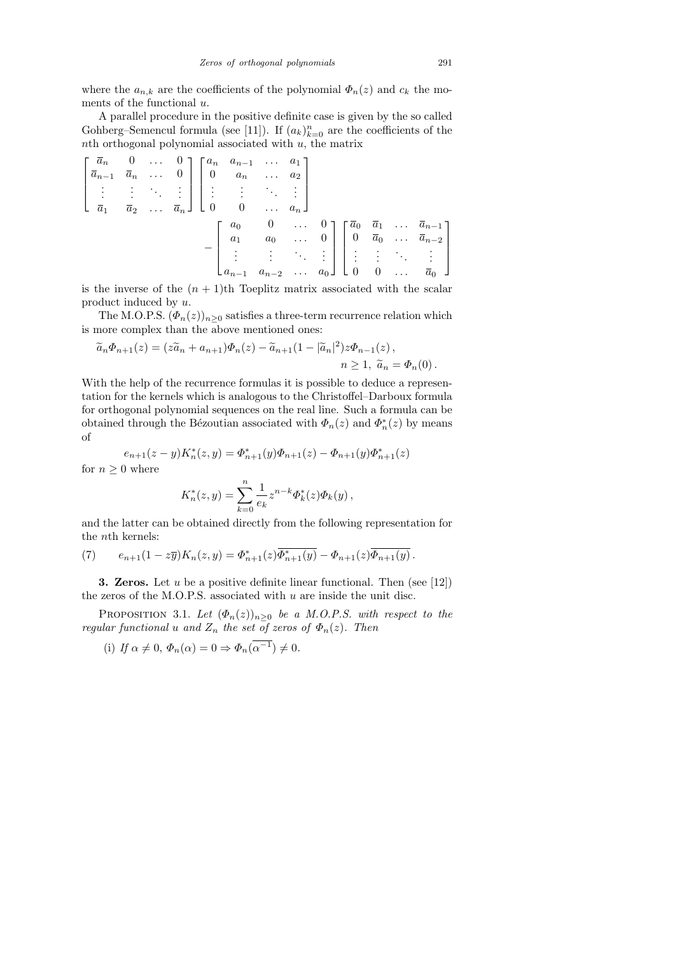where the  $a_{n,k}$  are the coefficients of the polynomial  $\Phi_n(z)$  and  $c_k$  the moments of the functional  $u$ .

A parallel procedure in the positive definite case is given by the so called Gohberg–Semencul formula (see [11]). If  $(a_k)_{k=0}^n$  are the coefficients of the  $n$ th orthogonal polynomial associated with  $u$ , the matrix

$$
\begin{bmatrix}\n\overline{a}_n & 0 & \dots & 0 \\
\overline{a}_{n-1} & \overline{a}_n & \dots & 0 \\
\vdots & \vdots & \ddots & \vdots \\
\overline{a}_1 & \overline{a}_2 & \dots & \overline{a}_n\n\end{bmatrix}\n\begin{bmatrix}\na_n & a_{n-1} & \dots & a_1 \\
0 & a_n & \dots & a_2 \\
\vdots & \vdots & \ddots & \vdots \\
0 & 0 & \dots & a_n\n\end{bmatrix}\n-\n\begin{bmatrix}\na_0 & 0 & \dots & 0 \\
a_1 & a_0 & \dots & 0 \\
\vdots & \vdots & \ddots & \vdots \\
a_{n-1} & a_{n-2} & \dots & a_0\n\end{bmatrix}\n\begin{bmatrix}\n\overline{a}_0 & \overline{a}_1 & \dots & \overline{a}_{n-1} \\
0 & \overline{a}_0 & \dots & \overline{a}_{n-2} \\
\vdots & \vdots & \ddots & \vdots \\
0 & 0 & \dots & \overline{a}_0\n\end{bmatrix}
$$

is the inverse of the  $(n + 1)$ th Toeplitz matrix associated with the scalar product induced by u.

The M.O.P.S.  $(\Phi_n(z))_{n\geq 0}$  satisfies a three-term recurrence relation which is more complex than the above mentioned ones:

$$
\widetilde{a}_n \Phi_{n+1}(z) = (z\widetilde{a}_n + a_{n+1})\Phi_n(z) - \widetilde{a}_{n+1}(1 - |\widetilde{a}_n|^2)z\Phi_{n-1}(z),
$$
  
\n
$$
n \ge 1, \ \widetilde{a}_n = \Phi_n(0).
$$

With the help of the recurrence formulas it is possible to deduce a representation for the kernels which is analogous to the Christoffel–Darboux formula for orthogonal polynomial sequences on the real line. Such a formula can be obtained through the Bézoutian associated with  $\Phi_n(z)$  and  $\Phi_n^*(z)$  by means of

$$
e_{n+1}(z-y)K_n^*(z,y)=\varPhi_{n+1}^*(y)\varPhi_{n+1}(z)-\varPhi_{n+1}(y)\varPhi_{n+1}^*(z)
$$

for  $n \geq 0$  where

$$
K_n^*(z, y) = \sum_{k=0}^n \frac{1}{e_k} z^{n-k} \Phi_k^*(z) \Phi_k(y) ,
$$

and the latter can be obtained directly from the following representation for the nth kernels:

(7) 
$$
e_{n+1}(1-z\overline{y})K_n(z,y) = \Phi_{n+1}^*(z)\overline{\Phi_{n+1}^*(y)} - \Phi_{n+1}(z)\overline{\Phi_{n+1}(y)}.
$$

**3. Zeros.** Let u be a positive definite linear functional. Then (see [12]) the zeros of the M.O.P.S. associated with  $u$  are inside the unit disc.

PROPOSITION 3.1. Let  $(\Phi_n(z))_{n\geq 0}$  be a M.O.P.S. with respect to the regular functional u and  $Z_n$  the set of zeros of  $\Phi_n(z)$ . Then

(i) If 
$$
\alpha \neq 0
$$
,  $\Phi_n(\alpha) = 0 \Rightarrow \Phi_n(\overline{\alpha^{-1}}) \neq 0$ .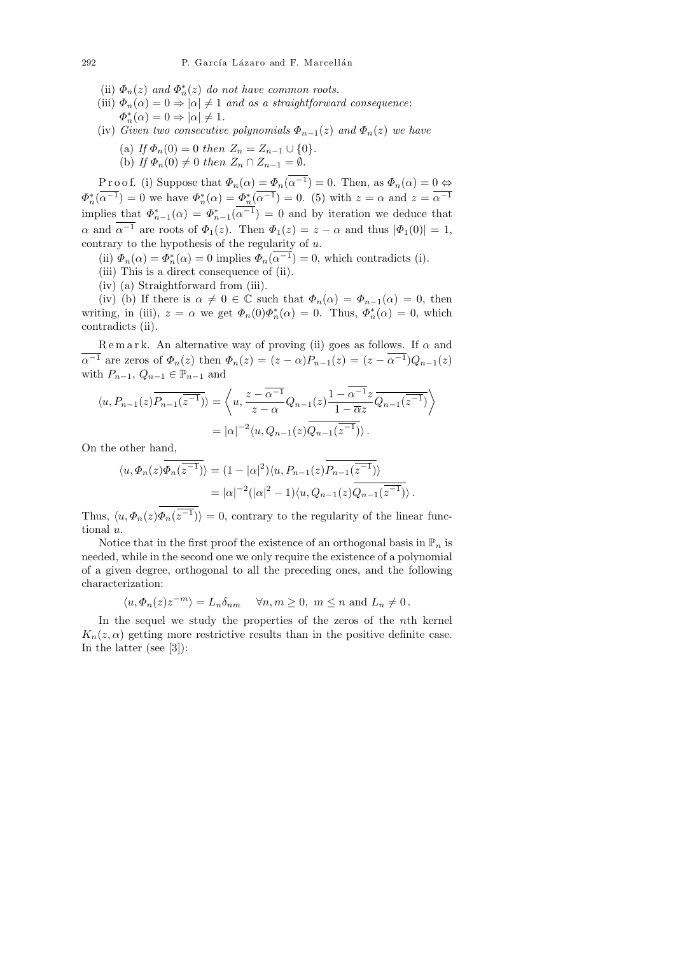- (ii)  $\Phi_n(z)$  and  $\Phi_n^*(z)$  do not have common roots.
- (iii)  $\Phi_n(\alpha) = 0 \Rightarrow |\alpha| \neq 1$  and as a straightforward consequence:  $\Phi_n^*(\alpha) = 0 \Rightarrow |\alpha| \neq 1.$
- (iv) Given two consecutive polynomials  $\Phi_{n-1}(z)$  and  $\Phi_n(z)$  we have
	- (a) If  $\Phi_n(0) = 0$  then  $Z_n = Z_{n-1} \cup \{0\}.$
	- (b) If  $\Phi_n(0) \neq 0$  then  $Z_n \cap Z_{n-1} = \emptyset$ .

P r o o f. (i) Suppose that  $\Phi_n(\alpha) = \Phi_n(\alpha^{-1}) = 0$ . Then, as  $\Phi_n(\alpha) = 0 \Leftrightarrow$  $\Phi_n^*(\alpha^{-1}) = 0$  we have  $\Phi_n^*(\alpha) = \Phi_n^*(\alpha^{-1}) = 0$ . (5) with  $z = \alpha$  and  $z = \alpha^{-1}$ implies that  $\Phi_{n-1}^*(\alpha) = \Phi_{n-1}^*(\alpha^{-1}) = 0$  and by iteration we deduce that  $\alpha$  and  $\alpha^{-1}$  are roots of  $\Phi_1(z)$ . Then  $\Phi_1(z) = z - \alpha$  and thus  $|\Phi_1(0)| = 1$ , contrary to the hypothesis of the regularity of  $u$ .

- (ii)  $\Phi_n(\alpha) = \Phi_n^*(\alpha) = 0$  implies  $\Phi_n(\alpha^{-1}) = 0$ , which contradicts (i).
- (iii) This is a direct consequence of (ii).
- (iv) (a) Straightforward from (iii).

(iv) (b) If there is  $\alpha \neq 0 \in \mathbb{C}$  such that  $\Phi_n(\alpha) = \Phi_{n-1}(\alpha) = 0$ , then writing, in (iii),  $z = \alpha$  we get  $\Phi_n(0)\Phi_n^*(\alpha) = 0$ . Thus,  $\Phi_n^*(\alpha) = 0$ , which contradicts (ii).

Remark. An alternative way of proving (ii) goes as follows. If  $\alpha$  and  $\overline{\alpha^{-1}}$  are zeros of  $\Phi_n(z)$  then  $\Phi_n(z) = (z - \alpha)P_{n-1}(z) = (z - \overline{\alpha^{-1}})Q_{n-1}(z)$ with  $P_{n-1}$ ,  $Q_{n-1} \in \mathbb{P}_{n-1}$  and

$$
\langle u, P_{n-1}(z) \overline{P_{n-1}(\overline{z^{-1}})} \rangle = \left\langle u, \frac{z - \overline{\alpha^{-1}}}{z - \alpha} Q_{n-1}(z) \frac{1 - \alpha^{-1} z}{1 - \overline{\alpha} z} \overline{Q_{n-1}(\overline{z^{-1}})} \right\rangle
$$

$$
= |\alpha|^{-2} \langle u, Q_{n-1}(z) \overline{Q_{n-1}(\overline{z^{-1}})} \rangle.
$$

On the other hand,

$$
\langle u, \Phi_n(z) \overline{\Phi_n(z^{-1})} \rangle = (1 - |\alpha|^2) \langle u, P_{n-1}(z) \overline{P_{n-1}(z^{-1})} \rangle
$$
  
=  $|\alpha|^{-2} (|\alpha|^2 - 1) \langle u, Q_{n-1}(z) \overline{Q_{n-1}(z^{-1})} \rangle.$ 

Thus,  $\langle u, \Phi_n(z)\Phi_n(z^{-1})\rangle = 0$ , contrary to the regularity of the linear functional u.

Notice that in the first proof the existence of an orthogonal basis in  $\mathbb{P}_n$  is needed, while in the second one we only require the existence of a polynomial of a given degree, orthogonal to all the preceding ones, and the following characterization:

$$
\langle u, \Phi_n(z) z^{-m} \rangle = L_n \delta_{nm} \quad \forall n, m \ge 0, m \le n \text{ and } L_n \ne 0.
$$

In the sequel we study the properties of the zeros of the nth kernel  $K_n(z, \alpha)$  getting more restrictive results than in the positive definite case. In the latter (see [3]):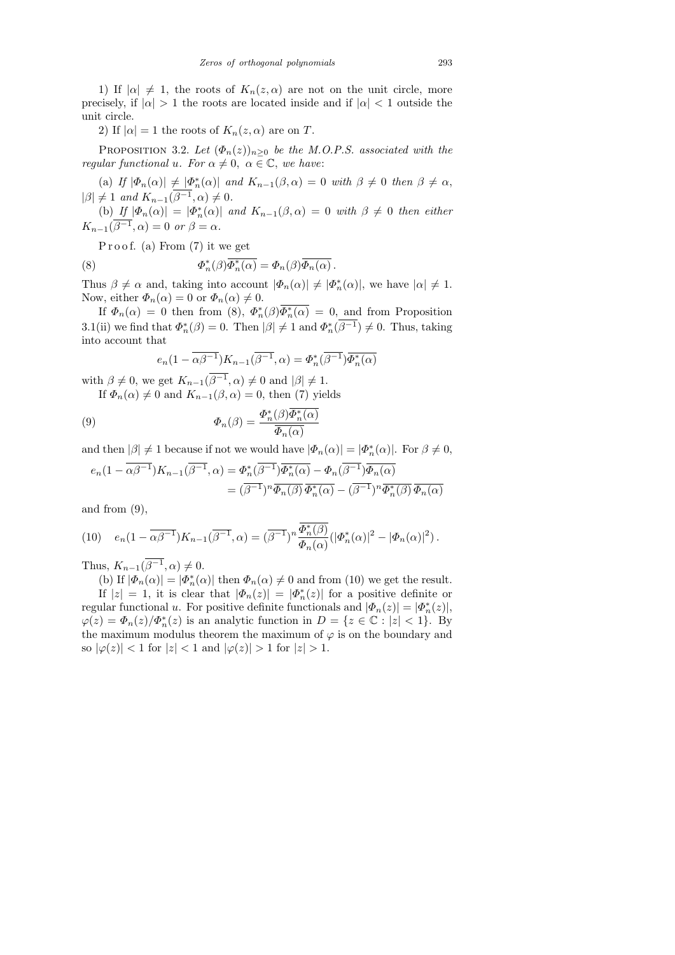1) If  $|\alpha| \neq 1$ , the roots of  $K_n(z, \alpha)$  are not on the unit circle, more precisely, if  $|\alpha| > 1$  the roots are located inside and if  $|\alpha| < 1$  outside the unit circle.

2) If  $|\alpha| = 1$  the roots of  $K_n(z, \alpha)$  are on T.

PROPOSITION 3.2. Let  $(\Phi_n(z))_{n\geq 0}$  be the M.O.P.S. associated with the regular functional u. For  $\alpha \neq 0$ ,  $\alpha \in \mathbb{C}$ , we have:

(a) If  $|\Phi_n(\alpha)| \neq |\Phi_n^*(\alpha)|$  and  $K_{n-1}(\beta,\alpha) = 0$  with  $\beta \neq 0$  then  $\beta \neq \alpha$ ,  $|\beta| \neq 1$  and  $K_{n-1}(\beta^{-1}, \alpha) \neq 0$ .

(b) If  $|\Phi_n(\alpha)| = |\Phi_n^*(\alpha)|$  and  $K_{n-1}(\beta, \alpha) = 0$  with  $\beta \neq 0$  then either  $K_{n-1}(\beta^{-1}, \alpha) = 0$  or  $\beta = \alpha$ .

Proof. (a) From  $(7)$  it we get

(8) 
$$
\Phi_n^*(\beta)\overline{\Phi_n^*(\alpha)} = \Phi_n(\beta)\overline{\Phi_n(\alpha)}.
$$

Thus  $\beta \neq \alpha$  and, taking into account  $|\Phi_n(\alpha)| \neq |\Phi_n^*(\alpha)|$ , we have  $|\alpha| \neq 1$ . Now, either  $\Phi_n(\alpha) = 0$  or  $\Phi_n(\alpha) \neq 0$ .

If  $\Phi_n(\alpha) = 0$  then from (8),  $\Phi_n^*(\beta) \overline{\Phi_n^*(\alpha)} = 0$ , and from Proposition 3.1(ii) we find that  $\Phi_n^*(\beta) = 0$ . Then  $|\beta| \neq 1$  and  $\Phi_n^*(\beta^{-1}) \neq 0$ . Thus, taking into account that

$$
e_n(1-\overline{\alpha\beta^{-1}})K_{n-1}(\overline{\beta^{-1}},\alpha)=\varPhi_n^*(\overline{\beta^{-1}})\overline{\varPhi_n^*(\alpha)}
$$

with  $\beta \neq 0$ , we get  $K_{n-1}(\beta^{-1}, \alpha) \neq 0$  and  $|\beta| \neq 1$ .

If  $\Phi_n(\alpha) \neq 0$  and  $K_{n-1}(\beta, \alpha) = 0$ , then (7) yields

(9) 
$$
\Phi_n(\beta) = \frac{\Phi_n^*(\beta)\overline{\Phi_n^*(\alpha)}}{\overline{\Phi_n(\alpha)}}
$$

and then  $|\beta| \neq 1$  because if not we would have  $|\Phi_n(\alpha)| = |\Phi_n^*(\alpha)|$ . For  $\beta \neq 0$ ,

$$
e_n(1 - \overline{\alpha \beta^{-1}}) K_{n-1}(\overline{\beta^{-1}}, \alpha) = \Phi_n^*(\overline{\beta^{-1}}) \overline{\Phi_n^*(\alpha)} - \Phi_n(\overline{\beta^{-1}}) \overline{\Phi_n(\alpha)}
$$
  
= 
$$
(\overline{\beta^{-1}})^n \overline{\Phi_n(\beta)} \overline{\Phi_n^*(\alpha)} - (\overline{\beta^{-1}})^n \overline{\Phi_n^*(\beta)} \overline{\Phi_n(\alpha)}
$$

and from  $(9)$ ,

(10) 
$$
e_n(1-\overline{\alpha\beta^{-1}})K_{n-1}(\overline{\beta^{-1}},\alpha)=(\overline{\beta^{-1}})^n\frac{\overline{\Phi_n^*(\beta)}}{\Phi_n(\alpha)}(|\Phi_n^*(\alpha)|^2-|\Phi_n(\alpha)|^2).
$$

Thus,  $K_{n-1}(\beta^{-1}, \alpha) \neq 0$ .

(b) If  $|\Phi_n(\alpha)| = |\Phi_n^*(\alpha)|$  then  $\Phi_n(\alpha) \neq 0$  and from (10) we get the result.

If  $|z| = 1$ , it is clear that  $|\Phi_n(z)| = |\Phi_n^*(z)|$  for a positive definite or regular functional u. For positive definite functionals and  $|\Phi_n(z)| = |\Phi_n^*(z)|$ ,  $\varphi(z) = \Phi_n(z)/\Phi_n^*(z)$  is an analytic function in  $D = \{z \in \mathbb{C} : |z| < 1\}$ . By the maximum modulus theorem the maximum of  $\varphi$  is on the boundary and so  $|\varphi(z)| < 1$  for  $|z| < 1$  and  $|\varphi(z)| > 1$  for  $|z| > 1$ .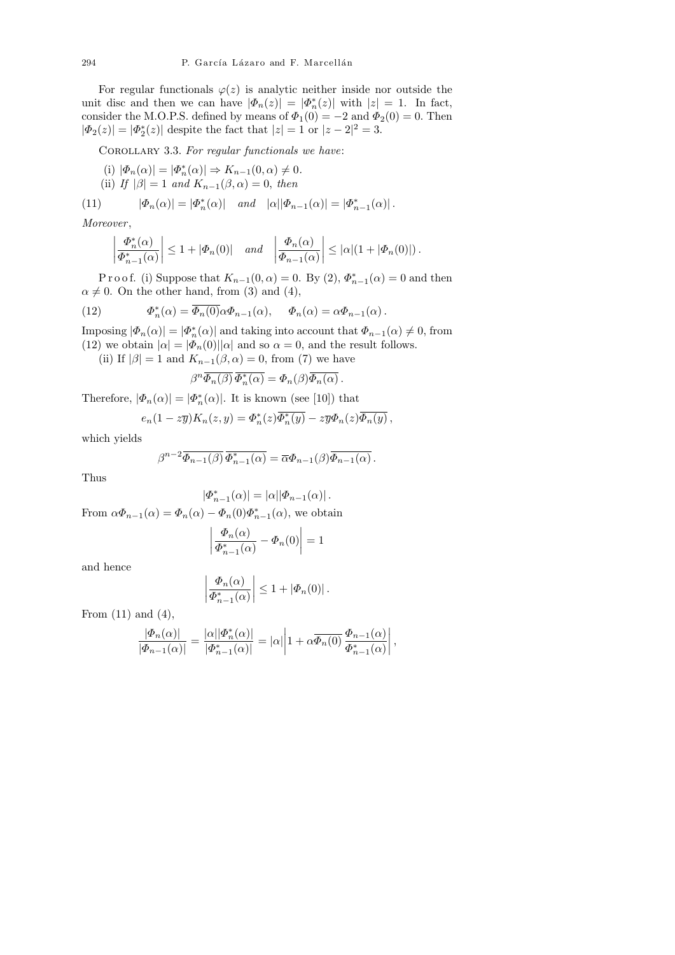For regular functionals  $\varphi(z)$  is analytic neither inside nor outside the unit disc and then we can have  $|\Phi_n(z)| = |\Phi_n^*(z)|$  with  $|z| = 1$ . In fact, consider the M.O.P.S. defined by means of  $\Phi_1(0) = -2$  and  $\Phi_2(0) = 0$ . Then  $|\Phi_2(z)| = |\Phi_2^*(z)|$  despite the fact that  $|z| = 1$  or  $|z - 2|^2 = 3$ .

COROLLARY 3.3. For regular functionals we have:

(i) 
$$
|\Phi_n(\alpha)| = |\Phi_n^*(\alpha)| \Rightarrow K_{n-1}(0, \alpha) \neq 0
$$
.  
\n(ii) If  $|\beta| = 1$  and  $K_{n-1}(\beta, \alpha) = 0$ , then

(11)  $|\Phi_n(\alpha)| = |\Phi_n^*(\alpha)|$  and  $|\alpha||\Phi_{n-1}(\alpha)| = |\Phi_{n-1}^*(\alpha)|$ .

Moreover ,

$$
\left|\frac{\Phi_n^*(\alpha)}{\Phi_{n-1}^*(\alpha)}\right| \le 1 + |\Phi_n(0)| \quad \text{and} \quad \left|\frac{\Phi_n(\alpha)}{\Phi_{n-1}(\alpha)}\right| \le |\alpha|(1 + |\Phi_n(0)|) \, .
$$

P r o o f. (i) Suppose that  $K_{n-1}(0, \alpha) = 0$ . By  $(2), \Phi_{n-1}^*(\alpha) = 0$  and then  $\alpha \neq 0$ . On the other hand, from (3) and (4),

(12) 
$$
\Phi_n^*(\alpha) = \overline{\Phi_n(0)} \alpha \Phi_{n-1}(\alpha), \quad \Phi_n(\alpha) = \alpha \Phi_{n-1}(\alpha).
$$

Imposing  $|\Phi_n(\alpha)| = |\Phi_n^*(\alpha)|$  and taking into account that  $\Phi_{n-1}(\alpha) \neq 0$ , from (12) we obtain  $|\alpha| = |\Phi_n(0)||\alpha|$  and so  $\alpha = 0$ , and the result follows.

(ii) If  $|\beta| = 1$  and  $K_{n-1}(\beta, \alpha) = 0$ , from (7) we have

$$
\beta^n \overline{\varPhi_n(\beta)} \, \overline{\varPhi_n^*(\alpha)} = \varPhi_n(\beta) \overline{\varPhi_n(\alpha)} \, .
$$

Therefore,  $|\Phi_n(\alpha)| = |\Phi_n^*(\alpha)|$ . It is known (see [10]) that

$$
e_n(1-z\overline{y})K_n(z,y)=\Phi_n^*(z)\overline{\Phi_n^*(y)}-z\overline{y}\Phi_n(z)\overline{\Phi_n(y)},
$$

which yields

β

$$
\beta^{n-2} \overline{\Phi_{n-1}(\beta)} \overline{\Phi_{n-1}^*(\alpha)} = \overline{\alpha} \Phi_{n-1}(\beta) \overline{\Phi_{n-1}(\alpha)}.
$$

Thus

$$
|\varPhi_{n-1}^*(\alpha)| = |\alpha||\varPhi_{n-1}(\alpha)|.
$$
 From  $\alpha\varPhi_{n-1}(\alpha) = \varPhi_n(\alpha) - \varPhi_n(0)\varPhi_{n-1}^*(\alpha)$ , we obtain

 $\overline{\phantom{a}}$  $\overline{\phantom{a}}$ I  $\mid$ 

$$
\left| \frac{\Phi_n(\alpha)}{\Phi_{n-1}^*(\alpha)} - \Phi_n(0) \right| = 1
$$

and hence

$$
\left. \frac{\Phi_n(\alpha)}{\Phi_{n-1}^*(\alpha)} \right| \leq 1 + |\Phi_n(0)|.
$$

From  $(11)$  and  $(4)$ ,

$$
\frac{|\varPhi_n(\alpha)|}{|\varPhi_{n-1}(\alpha)|}=\frac{|\alpha||\varPhi_n^*(\alpha)|}{|\varPhi_{n-1}^*(\alpha)|}=|\alpha|\bigg|1+\alpha\overline{\varPhi_n(0)}\,\frac{\varPhi_{n-1}(\alpha)}{\varPhi_{n-1}^*(\alpha)}\bigg|\,,
$$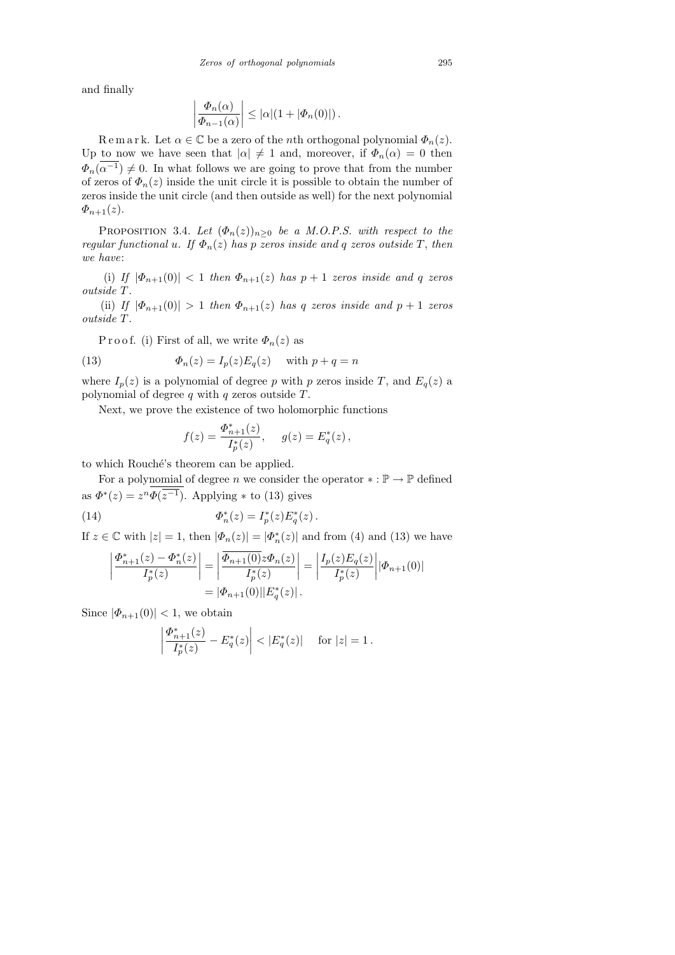and finally

$$
\left|\frac{\Phi_n(\alpha)}{\Phi_{n-1}(\alpha)}\right| \leq |\alpha|(1+|\Phi_n(0)|)\,.
$$

R e m a r k. Let  $\alpha \in \mathbb{C}$  be a zero of the *n*th orthogonal polynomial  $\Phi_n(z)$ . Up to now we have seen that  $|\alpha| \neq 1$  and, moreover, if  $\Phi_n(\alpha) = 0$  then  $\Phi_n(\alpha^{-1}) \neq 0$ . In what follows we are going to prove that from the number of zeros of  $\Phi_n(z)$  inside the unit circle it is possible to obtain the number of zeros inside the unit circle (and then outside as well) for the next polynomial  $\Phi_{n+1}(z)$ .

PROPOSITION 3.4. Let  $(\Phi_n(z))_{n\geq 0}$  be a M.O.P.S. with respect to the regular functional u. If  $\Phi_n(z)$  has p zeros inside and q zeros outside T, then we have:

(i) If  $|\Phi_{n+1}(0)| < 1$  then  $\Phi_{n+1}(z)$  has  $p+1$  zeros inside and q zeros outside T.

(ii) If  $|\Phi_{n+1}(0)| > 1$  then  $\Phi_{n+1}(z)$  has q zeros inside and  $p+1$  zeros outside T.

P r o o f. (i) First of all, we write  $\Phi_n(z)$  as

(13) 
$$
\Phi_n(z) = I_p(z) E_q(z) \quad \text{with } p + q = n
$$

where  $I_p(z)$  is a polynomial of degree p with p zeros inside T, and  $E_q(z)$  a polynomial of degree  $q$  with  $q$  zeros outside  $T$ .

Next, we prove the existence of two holomorphic functions

$$
f(z) = \frac{\Phi_{n+1}^*(z)}{I_p^*(z)}, \quad g(z) = E_q^*(z),
$$

to which Rouché's theorem can be applied.

For a polynomial of degree n we consider the operator  $\ast : \mathbb{P} \to \mathbb{P}$  defined as  $\Phi^*(z) = z^n \Phi(\overline{z^{-1}})$ . Applying  $*$  to (13) gives

 $(14)$  $I_n^*(z) = I_p^*(z) E_q^*(z)$ .

If  $z \in \mathbb{C}$  with  $|z| = 1$ , then  $|\Phi_n(z)| = |\Phi_n^*(z)|$  and from (4) and (13) we have

$$
\left| \frac{\Phi_{n+1}^*(z) - \Phi_n^*(z)}{I_p^*(z)} \right| = \left| \frac{\overline{\Phi_{n+1}(0)} z \Phi_n(z)}{I_p^*(z)} \right| = \left| \frac{I_p(z) E_q(z)}{I_p^*(z)} \right| |\Phi_{n+1}(0)|
$$
  
=  $|\Phi_{n+1}(0)| |E_q^*(z)|.$ 

Since  $|\Phi_{n+1}(0)| < 1$ , we obtain

$$
\left| \frac{\Phi^*_{n+1}(z)}{I^*_{p}(z)} - E^*_{q}(z) \right| < |E^*_{q}(z)| \quad \text{ for } |z| = 1 \, .
$$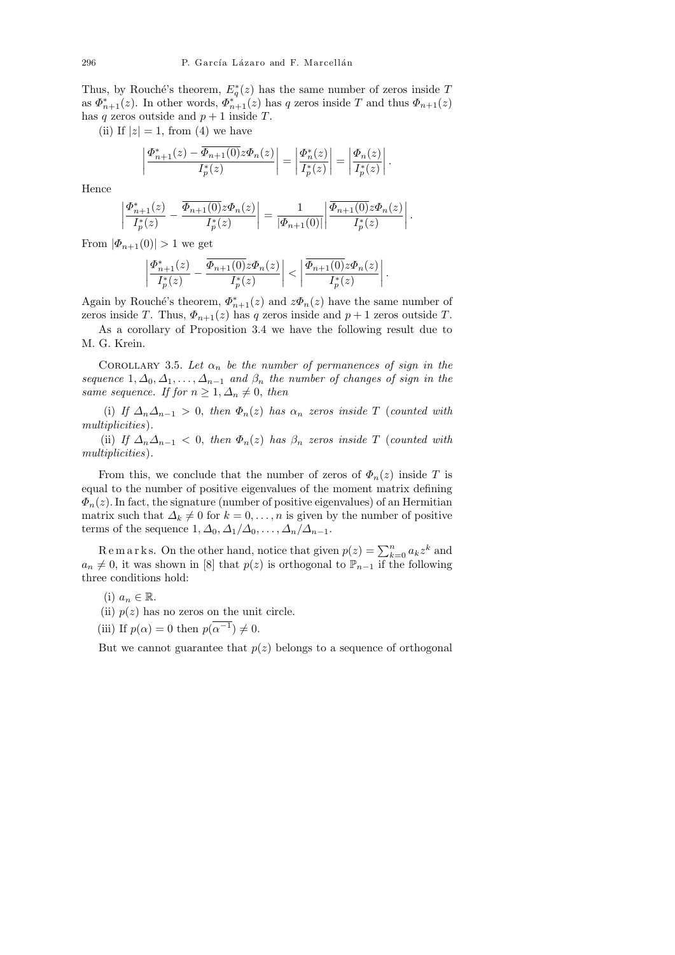Thus, by Rouché's theorem,  $E_q^*(z)$  has the same number of zeros inside T as  $\Phi_{n+1}^*(z)$ . In other words,  $\Phi_{n+1}^*(z)$  has q zeros inside T and thus  $\Phi_{n+1}(z)$ has q zeros outside and  $p + 1$  inside T.

(ii) If  $|z|=1$ , from (4) we have

$$
\left|\frac{\Phi^*_{n+1}(z)-\overline{\Phi_{n+1}(0)}z\Phi_n(z)}{I^*_p(z)}\right|=\left|\frac{\Phi^*_n(z)}{I^*_p(z)}\right|=\left|\frac{\Phi_n(z)}{I^*_p(z)}\right|.
$$

Hence

$$
\left|\frac{\Phi^*_{n+1}(z)}{I^*_{p}(z)} - \frac{\overline{\Phi_{n+1}(0)}z\Phi_n(z)}{I^*_{p}(z)}\right| = \frac{1}{|\Phi_{n+1}(0)|} \left|\frac{\overline{\Phi_{n+1}(0)}z\Phi_n(z)}{I^*_{p}(z)}\right|.
$$

From  $|\Phi_{n+1}(0)| > 1$  we get

$$
\left|\frac{\varPhi^*_{n+1}(z)}{I^*_p(z)}-\frac{\overline{\varPhi_{n+1}(0)}z\varPhi_n(z)}{I^*_p(z)}\right|<\left|\frac{\overline{\varPhi_{n+1}(0)}z\varPhi_n(z)}{I^*_p(z)}\right|.
$$

Again by Rouché's theorem,  $\Phi_{n+1}^*(z)$  and  $z\Phi_n(z)$  have the same number of zeros inside T. Thus,  $\Phi_{n+1}(z)$  has q zeros inside and  $p+1$  zeros outside T.

As a corollary of Proposition 3.4 we have the following result due to M. G. Krein.

COROLLARY 3.5. Let  $\alpha_n$  be the number of permanences of sign in the sequence  $1, \Delta_0, \Delta_1, \ldots, \Delta_{n-1}$  and  $\beta_n$  the number of changes of sign in the same sequence. If for  $n \geq 1, \Delta_n \neq 0$ , then

(i) If  $\Delta_n\Delta_{n-1} > 0$ , then  $\Phi_n(z)$  has  $\alpha_n$  zeros inside T (counted with multiplicities).

(ii) If  $\Delta_n\Delta_{n-1} < 0$ , then  $\Phi_n(z)$  has  $\beta_n$  zeros inside T (counted with multiplicities).

From this, we conclude that the number of zeros of  $\Phi_n(z)$  inside T is equal to the number of positive eigenvalues of the moment matrix defining  $\Phi_n(z)$ . In fact, the signature (number of positive eigenvalues) of an Hermitian matrix such that  $\Delta_k \neq 0$  for  $k = 0, \ldots, n$  is given by the number of positive terms of the sequence  $1, \Delta_0, \Delta_1/\Delta_0, \ldots, \Delta_n/\Delta_{n-1}$ .

R e m a r k s. On the other hand, notice that given  $p(z) = \sum_{k=0}^{n} a_k z^k$  and  $a_n \neq 0$ , it was shown in [8] that  $p(z)$  is orthogonal to  $\mathbb{P}_{n-1}$  if the following three conditions hold:

- (i)  $a_n \in \mathbb{R}$ .
- (ii)  $p(z)$  has no zeros on the unit circle.
- (iii) If  $p(\alpha) = 0$  then  $p(\alpha^{-1}) \neq 0$ .

But we cannot guarantee that  $p(z)$  belongs to a sequence of orthogonal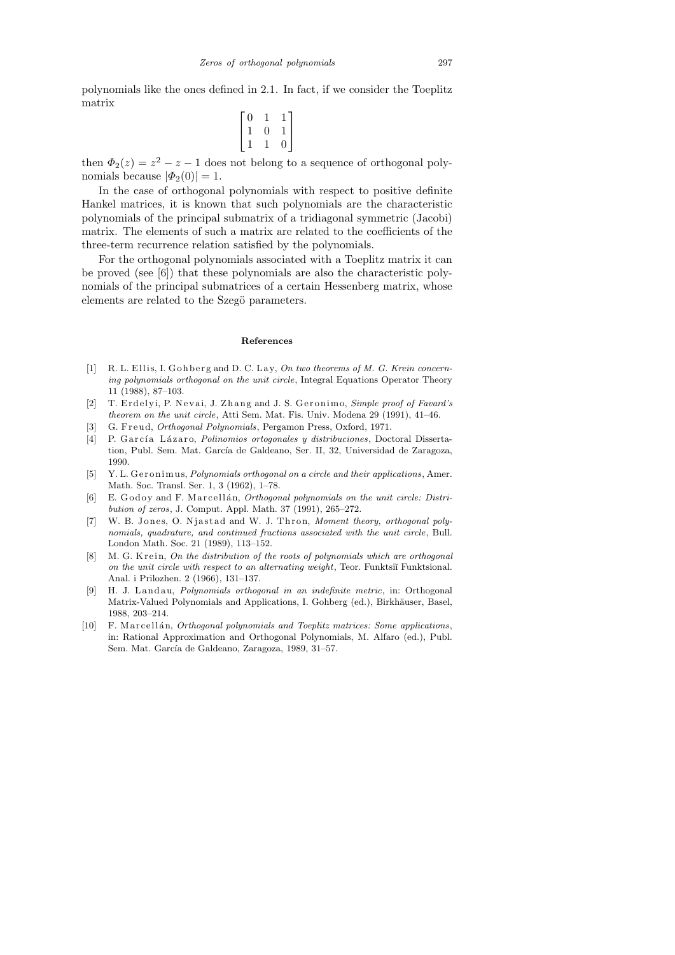polynomials like the ones defined in 2.1. In fact, if we consider the Toeplitz matrix

$$
\begin{bmatrix} 0 & 1 & 1 \\ 1 & 0 & 1 \\ 1 & 1 & 0 \end{bmatrix}
$$

then  $\Phi_2(z) = z^2 - z - 1$  does not belong to a sequence of orthogonal polynomials because  $|\Phi_2(0)| = 1$ .

In the case of orthogonal polynomials with respect to positive definite Hankel matrices, it is known that such polynomials are the characteristic polynomials of the principal submatrix of a tridiagonal symmetric (Jacobi) matrix. The elements of such a matrix are related to the coefficients of the three-term recurrence relation satisfied by the polynomials.

For the orthogonal polynomials associated with a Toeplitz matrix it can be proved (see [6]) that these polynomials are also the characteristic polynomials of the principal submatrices of a certain Hessenberg matrix, whose elements are related to the Szegö parameters.

#### **References**

- [1] R. L. Ellis, I. Gohberg and D. C. Lay, *On two theorems of M. G. Krein concerning polynomials orthogonal on the unit circle*, Integral Equations Operator Theory 11 (1988), 87–103.
- [2] T. Erdelyi, P. Nevai, J. Zhang and J. S. Geronimo, *Simple proof of Favard's theorem on the unit circle*, Atti Sem. Mat. Fis. Univ. Modena 29 (1991), 41–46.
- [3] G. F r e u d, *Orthogonal Polynomials*, Pergamon Press, Oxford, 1971.
- [4] P. G a r c´ı a L ´a z a r o, *Polinomios ortogonales y distribuciones*, Doctoral Dissertation, Publ. Sem. Mat. García de Galdeano, Ser. II, 32, Universidad de Zaragoza, 1990.
- [5] Y. L. Geronimus, *Polynomials orthogonal on a circle and their applications*, Amer. Math. Soc. Transl. Ser. 1, 3 (1962), 1–78.
- [6] E. Godoy and F. Marcellán, *Orthogonal polynomials on the unit circle: Distribution of zeros*, J. Comput. Appl. Math. 37 (1991), 265–272.
- [7] W. B. Jones, O. Njastad and W. J. Thron, *Moment theory, orthogonal polynomials, quadrature, and continued fractions associated with the unit circle*, Bull. London Math. Soc. 21 (1989), 113–152.
- M. G. Krein, *On the distribution of the roots of polynomials which are orthogonal on the unit circle with respect to an alternating weight*, Teor. Funktsiı Funktsional. Anal. i Prilozhen. 2 (1966), 131–137.
- [9] H. J. L a n d a u, *Polynomials orthogonal in an indefinite metric*, in: Orthogonal Matrix-Valued Polynomials and Applications, I. Gohberg (ed.), Birkhäuser, Basel, 1988, 203–214.
- [10] F. M arcell an, *Orthogonal polynomials and Toeplitz matrices: Some applications*, in: Rational Approximation and Orthogonal Polynomials, M. Alfaro (ed.), Publ. Sem. Mat. García de Galdeano, Zaragoza, 1989, 31–57.